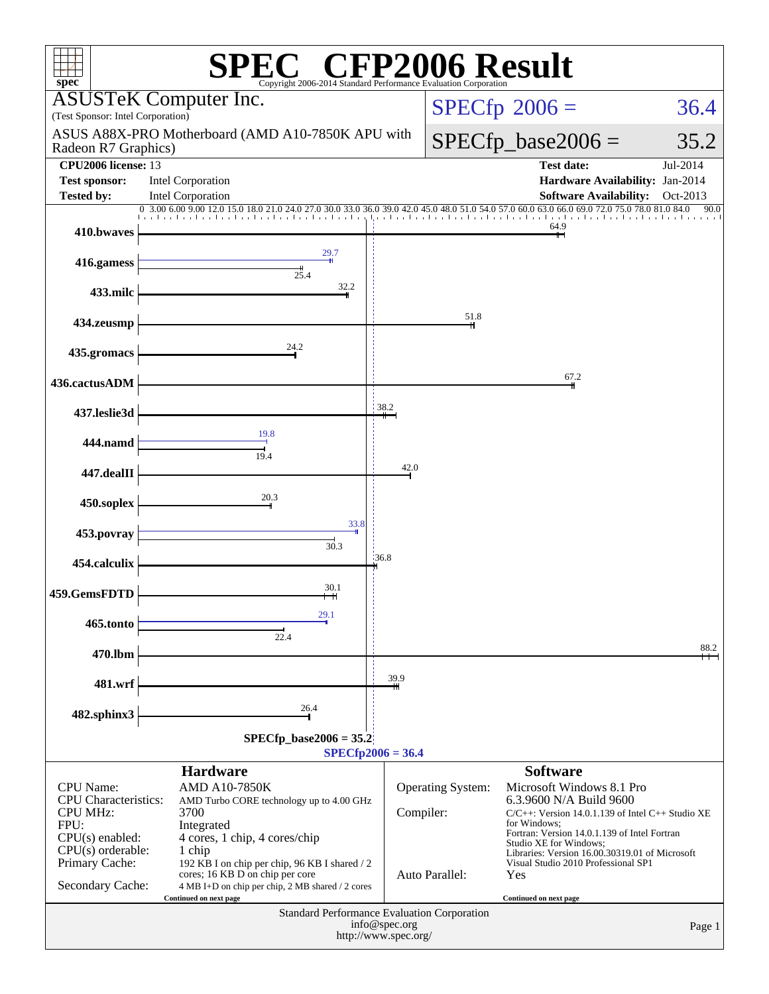| P2006 Result<br>spec <sup>®</sup><br>Copyright 2006-2014 Standard Performance Evaluation Corporation |                                                                                                                                      |                                       |                      |                                                                                |          |  |  |
|------------------------------------------------------------------------------------------------------|--------------------------------------------------------------------------------------------------------------------------------------|---------------------------------------|----------------------|--------------------------------------------------------------------------------|----------|--|--|
| ASI<br>(Test Sponsor: Intel Corporation)                                                             | USTeK Computer Inc.                                                                                                                  | $SPECfp^{\circ}2006 =$                |                      | 36.4                                                                           |          |  |  |
| Radeon R7 Graphics)                                                                                  | ASUS A88X-PRO Motherboard (AMD A10-7850K APU with                                                                                    |                                       | $SPECfp\_base2006 =$ | 35.2                                                                           |          |  |  |
| <b>CPU2006</b> license: 13                                                                           |                                                                                                                                      |                                       |                      | <b>Test date:</b>                                                              | Jul-2014 |  |  |
| <b>Test sponsor:</b><br>Tested by:                                                                   | <b>Intel Corporation</b><br><b>Intel Corporation</b>                                                                                 |                                       |                      | Hardware Availability: Jan-2014<br><b>Software Availability:</b>               | Oct-2013 |  |  |
|                                                                                                      | 0, 3.00, 6.00, 9.00<br>12.0 15.0 18.0 21.0<br>27.0 30.0 33.0 36.0 39.0 42                                                            |                                       | 54.0 57.0            | 60.0 63.0 66.0 69.0 72.0 75.0 78.0 81.0 84.0                                   | 90.0     |  |  |
| 410.bwaves                                                                                           |                                                                                                                                      |                                       |                      | 64.9                                                                           |          |  |  |
| 416.gamess                                                                                           | 29.7<br>$\frac{1}{25.4}$                                                                                                             |                                       |                      |                                                                                |          |  |  |
| 433.milc                                                                                             | 32.2                                                                                                                                 |                                       |                      |                                                                                |          |  |  |
| 434.zeusmp                                                                                           |                                                                                                                                      |                                       | 51.8                 |                                                                                |          |  |  |
| 435.gromacs                                                                                          | 24.2                                                                                                                                 |                                       |                      |                                                                                |          |  |  |
| 436.cactusADM                                                                                        |                                                                                                                                      |                                       |                      | 67.2                                                                           |          |  |  |
| 437.leslie3d                                                                                         |                                                                                                                                      | 38.2                                  |                      |                                                                                |          |  |  |
| 444.namd                                                                                             | 19.8<br>19.4                                                                                                                         |                                       |                      |                                                                                |          |  |  |
| 447.dealII                                                                                           |                                                                                                                                      | 42.0                                  |                      |                                                                                |          |  |  |
| 450.soplex                                                                                           | 20.3                                                                                                                                 |                                       |                      |                                                                                |          |  |  |
| 453.povray                                                                                           | 33.8<br>30.3                                                                                                                         |                                       |                      |                                                                                |          |  |  |
| 454.calculix                                                                                         |                                                                                                                                      | 36.8                                  |                      |                                                                                |          |  |  |
| 459.GemsFDTD                                                                                         | 30.1                                                                                                                                 |                                       |                      |                                                                                |          |  |  |
| 465.tonto                                                                                            | 29.1<br>$\frac{1}{22.4}$                                                                                                             |                                       |                      |                                                                                |          |  |  |
| 470.lbm                                                                                              |                                                                                                                                      |                                       |                      |                                                                                | 88.2     |  |  |
| 481.wrf                                                                                              |                                                                                                                                      | 39.9                                  |                      |                                                                                |          |  |  |
| 482.sphinx3                                                                                          | 26.4                                                                                                                                 |                                       |                      |                                                                                |          |  |  |
| $SPECfp\_base2006 = 35.2$<br>$SPECfp2006 = 36.4$                                                     |                                                                                                                                      |                                       |                      |                                                                                |          |  |  |
|                                                                                                      | <b>Hardware</b>                                                                                                                      |                                       |                      | <b>Software</b>                                                                |          |  |  |
| <b>CPU</b> Name:<br><b>CPU</b> Characteristics:                                                      | AMD A10-7850K                                                                                                                        |                                       | Operating System:    | Microsoft Windows 8.1 Pro                                                      |          |  |  |
| <b>CPU MHz:</b>                                                                                      | AMD Turbo CORE technology up to 4.00 GHz<br>3700                                                                                     | Compiler:                             |                      | 6.3.9600 N/A Build 9600<br>$C/C++$ : Version 14.0.1.139 of Intel C++ Studio XE |          |  |  |
| FPU:<br>$CPU(s)$ enabled:                                                                            | Integrated<br>4 cores, 1 chip, 4 cores/chip                                                                                          |                                       |                      | for Windows:<br>Fortran: Version 14.0.1.139 of Intel Fortran                   |          |  |  |
| $CPU(s)$ orderable:                                                                                  | 1 chip                                                                                                                               |                                       |                      | Studio XE for Windows;<br>Libraries: Version 16.00.30319.01 of Microsoft       |          |  |  |
| Primary Cache:<br>Secondary Cache:                                                                   | 192 KB I on chip per chip, 96 KB I shared / 2<br>cores; 16 KB D on chip per core<br>4 MB I+D on chip per chip, 2 MB shared / 2 cores |                                       | Auto Parallel:       | Visual Studio 2010 Professional SP1<br>Yes                                     |          |  |  |
| Continued on next page<br>Continued on next page<br>Standard Performance Evaluation Corporation      |                                                                                                                                      |                                       |                      |                                                                                |          |  |  |
|                                                                                                      |                                                                                                                                      | info@spec.org<br>http://www.spec.org/ |                      |                                                                                | Page 1   |  |  |
|                                                                                                      |                                                                                                                                      |                                       |                      |                                                                                |          |  |  |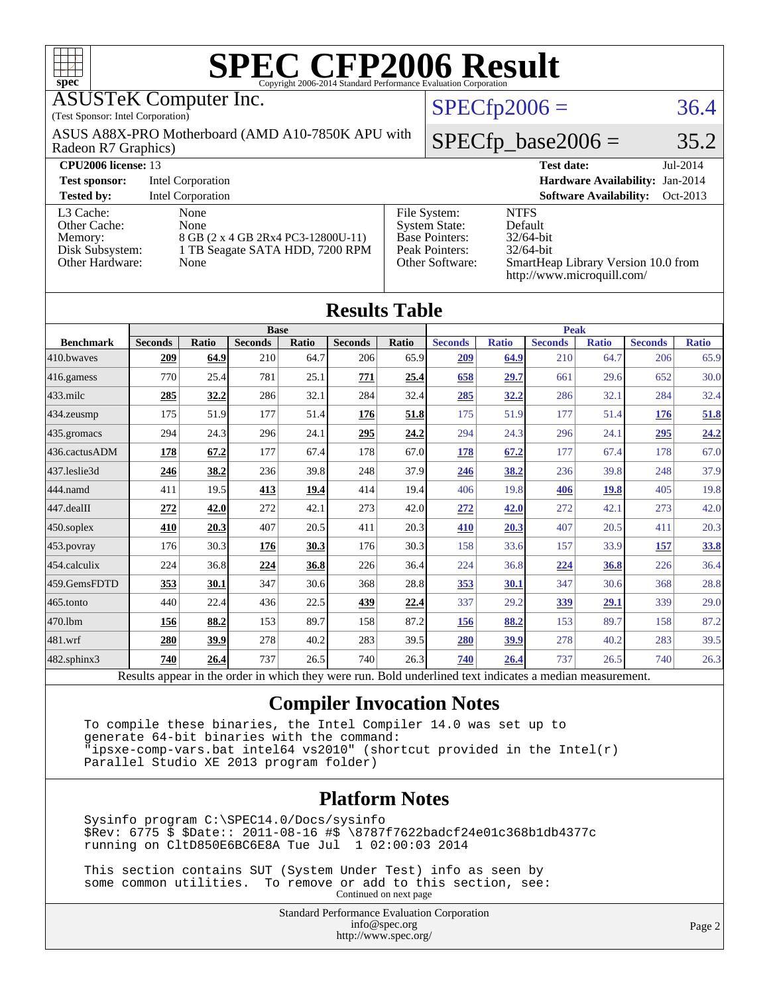| ŦП<br>$spec^*$                                                                 |                                                                                                                                     |                   |                |       | SPEC CFP2006 Evaluation Corporation |       |                                                                                                                                                                                                                                |                      |                   |              |                                 |              |
|--------------------------------------------------------------------------------|-------------------------------------------------------------------------------------------------------------------------------------|-------------------|----------------|-------|-------------------------------------|-------|--------------------------------------------------------------------------------------------------------------------------------------------------------------------------------------------------------------------------------|----------------------|-------------------|--------------|---------------------------------|--------------|
| <b>ASUSTeK Computer Inc.</b>                                                   |                                                                                                                                     |                   |                |       |                                     |       |                                                                                                                                                                                                                                | $SPECfp2006 =$       |                   |              |                                 | 36.4         |
| (Test Sponsor: Intel Corporation)                                              |                                                                                                                                     |                   |                |       |                                     |       |                                                                                                                                                                                                                                |                      |                   |              |                                 |              |
| ASUS A88X-PRO Motherboard (AMD A10-7850K APU with<br>Radeon R7 Graphics)       |                                                                                                                                     |                   |                |       |                                     |       |                                                                                                                                                                                                                                | $SPECfp\_base2006 =$ |                   |              | 35.2                            |              |
| <b>CPU2006 license: 13</b>                                                     |                                                                                                                                     |                   |                |       |                                     |       |                                                                                                                                                                                                                                |                      | <b>Test date:</b> |              |                                 | Jul-2014     |
| <b>Test sponsor:</b>                                                           |                                                                                                                                     | Intel Corporation |                |       |                                     |       |                                                                                                                                                                                                                                |                      |                   |              | Hardware Availability: Jan-2014 |              |
| <b>Tested by:</b><br><b>Intel Corporation</b><br><b>Software Availability:</b> |                                                                                                                                     |                   |                |       |                                     |       | Oct-2013                                                                                                                                                                                                                       |                      |                   |              |                                 |              |
| L <sub>3</sub> Cache:<br>Other Cache:<br>Memory:                               | None<br>None<br>8 GB (2 x 4 GB 2Rx4 PC3-12800U-11)<br>1 TB Seagate SATA HDD, 7200 RPM<br>Disk Subsystem:<br>Other Hardware:<br>None |                   |                |       |                                     |       | <b>NTFS</b><br>File System:<br><b>System State:</b><br>Default<br><b>Base Pointers:</b><br>$32/64$ -bit<br>Peak Pointers:<br>32/64-bit<br>Other Software:<br>SmartHeap Library Version 10.0 from<br>http://www.microquill.com/ |                      |                   |              |                                 |              |
| <b>Results Table</b>                                                           |                                                                                                                                     |                   |                |       |                                     |       |                                                                                                                                                                                                                                |                      |                   |              |                                 |              |
|                                                                                | <b>Base</b>                                                                                                                         |                   |                |       | <b>Peak</b>                         |       |                                                                                                                                                                                                                                |                      |                   |              |                                 |              |
| <b>Benchmark</b>                                                               | <b>Seconds</b>                                                                                                                      | Ratio             | <b>Seconds</b> | Ratio | <b>Seconds</b>                      | Ratio | <b>Seconds</b>                                                                                                                                                                                                                 | <b>Ratio</b>         | <b>Seconds</b>    | <b>Ratio</b> | <b>Seconds</b>                  | <b>Ratio</b> |
| 410.bwayes                                                                     | 209                                                                                                                                 | 64.9              | 210            | 64.7  | 206                                 | 65.9  | 209                                                                                                                                                                                                                            | 64.9                 | 210               | 64.7         | 206                             | 65.9         |
| $416$ .gamess                                                                  | 770                                                                                                                                 | 25.4              | 781            | 25.1  | 771                                 | 25.4  | 658                                                                                                                                                                                                                            | 29.7                 | 661               | 29.6         | 652                             | 30.0         |
| 433.milc                                                                       | 285                                                                                                                                 | 32.2              | 286            | 32.1  | 284                                 | 32.4  | 285                                                                                                                                                                                                                            | 32.2                 | 286               | 32.1         | 284                             | 32.4         |
| $434$ . zeusmp                                                                 | 175                                                                                                                                 | 51.9              | 177            | 51.4  | 176                                 | 51.8  | 175                                                                                                                                                                                                                            | 51.9                 | 177               | 51.4         | 176                             | 51.8         |
| $435$ .gromacs                                                                 | 294                                                                                                                                 | 24.3              | 296            | 24.1  | 295                                 | 24.2  | 294                                                                                                                                                                                                                            | 24.3                 | 296               | 24.1         | 295                             | 24.2         |
| 436.cactusADM                                                                  | 178                                                                                                                                 | 67.2              | 177            | 67.4  | 178                                 | 67.0  | 178                                                                                                                                                                                                                            | 67.2                 | 177               | 67.4         | 178                             | 67.0         |
| 437.leslie3d                                                                   | 246                                                                                                                                 | 38.2              | 236            | 39.8  | 248                                 | 37.9  | 246                                                                                                                                                                                                                            | 38.2                 | 236               | 39.8         | 248                             | 37.9         |
| 444.namd                                                                       | 411                                                                                                                                 | 19.5              | 413            | 19.4  | 414                                 | 19.4  | 406                                                                                                                                                                                                                            | 19.8                 | 406               | 19.8         | 405                             | 19.8         |

[482.sphinx3](http://www.spec.org/auto/cpu2006/Docs/482.sphinx3.html) **[740](http://www.spec.org/auto/cpu2006/Docs/result-fields.html#Median) [26.4](http://www.spec.org/auto/cpu2006/Docs/result-fields.html#Median)** 737 26.5 740 26.3 **[740](http://www.spec.org/auto/cpu2006/Docs/result-fields.html#Median) [26.4](http://www.spec.org/auto/cpu2006/Docs/result-fields.html#Median)** 737 26.5 740 26.3 Results appear in the [order in which they were run.](http://www.spec.org/auto/cpu2006/Docs/result-fields.html#RunOrder) Bold underlined text [indicates a median measurement.](http://www.spec.org/auto/cpu2006/Docs/result-fields.html#Median)

[447.dealII](http://www.spec.org/auto/cpu2006/Docs/447.dealII.html) **[272](http://www.spec.org/auto/cpu2006/Docs/result-fields.html#Median) [42.0](http://www.spec.org/auto/cpu2006/Docs/result-fields.html#Median)** 272 42.1 273 42.0 **[272](http://www.spec.org/auto/cpu2006/Docs/result-fields.html#Median) [42.0](http://www.spec.org/auto/cpu2006/Docs/result-fields.html#Median)** 272 42.1 273 42.0 [450.soplex](http://www.spec.org/auto/cpu2006/Docs/450.soplex.html) **[410](http://www.spec.org/auto/cpu2006/Docs/result-fields.html#Median) [20.3](http://www.spec.org/auto/cpu2006/Docs/result-fields.html#Median)** 407 20.5 411 20.3 **[410](http://www.spec.org/auto/cpu2006/Docs/result-fields.html#Median) [20.3](http://www.spec.org/auto/cpu2006/Docs/result-fields.html#Median)** 407 20.5 411 20.3 [453.povray](http://www.spec.org/auto/cpu2006/Docs/453.povray.html) 176 30.3 **[176](http://www.spec.org/auto/cpu2006/Docs/result-fields.html#Median) [30.3](http://www.spec.org/auto/cpu2006/Docs/result-fields.html#Median)** 176 30.3 158 33.6 157 33.9 **[157](http://www.spec.org/auto/cpu2006/Docs/result-fields.html#Median) [33.8](http://www.spec.org/auto/cpu2006/Docs/result-fields.html#Median)** [454.calculix](http://www.spec.org/auto/cpu2006/Docs/454.calculix.html) 224 36.8 **[224](http://www.spec.org/auto/cpu2006/Docs/result-fields.html#Median) [36.8](http://www.spec.org/auto/cpu2006/Docs/result-fields.html#Median)** 226 36.4 224 36.8 **[224](http://www.spec.org/auto/cpu2006/Docs/result-fields.html#Median) [36.8](http://www.spec.org/auto/cpu2006/Docs/result-fields.html#Median)** 226 36.4 [459.GemsFDTD](http://www.spec.org/auto/cpu2006/Docs/459.GemsFDTD.html) **[353](http://www.spec.org/auto/cpu2006/Docs/result-fields.html#Median) [30.1](http://www.spec.org/auto/cpu2006/Docs/result-fields.html#Median)** 347 30.6 368 28.8 **[353](http://www.spec.org/auto/cpu2006/Docs/result-fields.html#Median) [30.1](http://www.spec.org/auto/cpu2006/Docs/result-fields.html#Median)** 347 30.6 368 28.8 [465.tonto](http://www.spec.org/auto/cpu2006/Docs/465.tonto.html) 440 22.4 436 22.5 **[439](http://www.spec.org/auto/cpu2006/Docs/result-fields.html#Median) [22.4](http://www.spec.org/auto/cpu2006/Docs/result-fields.html#Median)** 337 29.2 **[339](http://www.spec.org/auto/cpu2006/Docs/result-fields.html#Median) [29.1](http://www.spec.org/auto/cpu2006/Docs/result-fields.html#Median)** 339 29.0 [470.lbm](http://www.spec.org/auto/cpu2006/Docs/470.lbm.html) **[156](http://www.spec.org/auto/cpu2006/Docs/result-fields.html#Median) [88.2](http://www.spec.org/auto/cpu2006/Docs/result-fields.html#Median)** 153 89.7 158 87.2 **[156](http://www.spec.org/auto/cpu2006/Docs/result-fields.html#Median) [88.2](http://www.spec.org/auto/cpu2006/Docs/result-fields.html#Median)** 153 89.7 158 87.2 [481.wrf](http://www.spec.org/auto/cpu2006/Docs/481.wrf.html) **[280](http://www.spec.org/auto/cpu2006/Docs/result-fields.html#Median) [39.9](http://www.spec.org/auto/cpu2006/Docs/result-fields.html#Median)** 278 40.2 283 39.5 **[280](http://www.spec.org/auto/cpu2006/Docs/result-fields.html#Median) [39.9](http://www.spec.org/auto/cpu2006/Docs/result-fields.html#Median)** 278 40.2 283 39.5

#### **[Compiler Invocation Notes](http://www.spec.org/auto/cpu2006/Docs/result-fields.html#CompilerInvocationNotes)**

 To compile these binaries, the Intel Compiler 14.0 was set up to generate 64-bit binaries with the command: "ipsxe-comp-vars.bat intel64 vs2010" (shortcut provided in the Intel(r) Parallel Studio XE 2013 program folder)

#### **[Platform Notes](http://www.spec.org/auto/cpu2006/Docs/result-fields.html#PlatformNotes)**

 Sysinfo program C:\SPEC14.0/Docs/sysinfo \$Rev: 6775 \$ \$Date:: 2011-08-16 #\$ \8787f7622badcf24e01c368b1db4377c running on CltD850E6BC6E8A Tue Jul 1 02:00:03 2014

 This section contains SUT (System Under Test) info as seen by some common utilities. To remove or add to this section, see: Continued on next page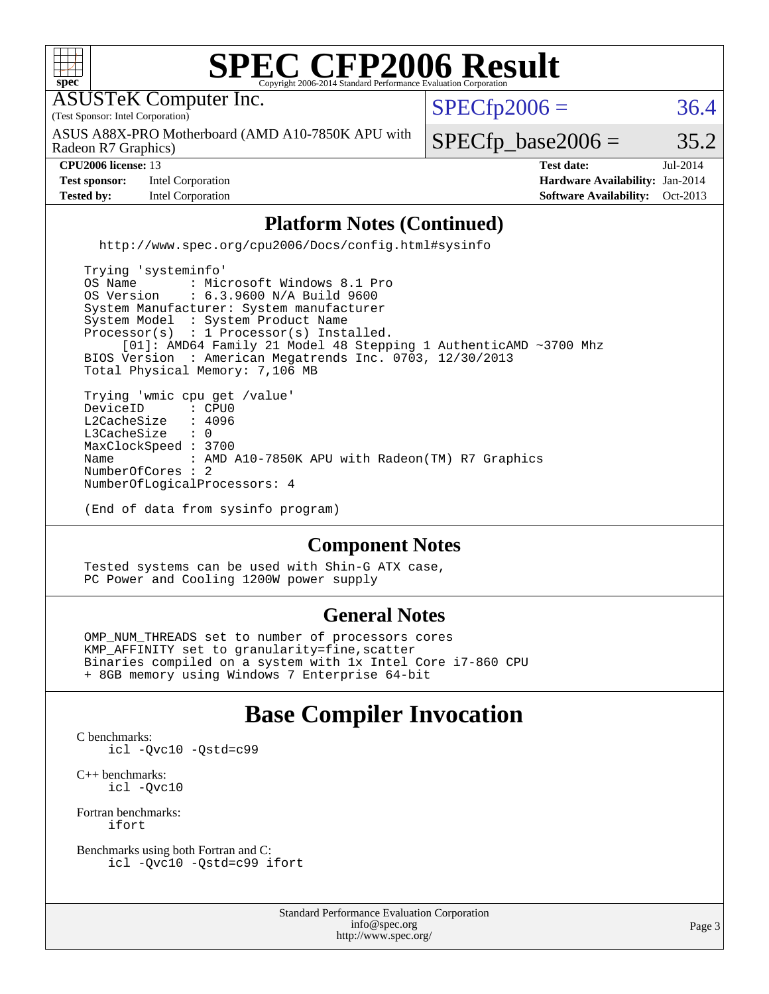

#### **[Component Notes](http://www.spec.org/auto/cpu2006/Docs/result-fields.html#ComponentNotes)**

 Tested systems can be used with Shin-G ATX case, PC Power and Cooling 1200W power supply

#### **[General Notes](http://www.spec.org/auto/cpu2006/Docs/result-fields.html#GeneralNotes)**

 OMP\_NUM\_THREADS set to number of processors cores KMP\_AFFINITY set to granularity=fine,scatter Binaries compiled on a system with 1x Intel Core i7-860 CPU + 8GB memory using Windows 7 Enterprise 64-bit

#### **[Base Compiler Invocation](http://www.spec.org/auto/cpu2006/Docs/result-fields.html#BaseCompilerInvocation)**

[C benchmarks](http://www.spec.org/auto/cpu2006/Docs/result-fields.html#Cbenchmarks): [icl -Qvc10](http://www.spec.org/cpu2006/results/res2014q3/cpu2006-20140715-30429.flags.html#user_CCbase_intel_icc_vc10_9607f3ecbcdf68042245f068e51b40c1) [-Qstd=c99](http://www.spec.org/cpu2006/results/res2014q3/cpu2006-20140715-30429.flags.html#user_CCbase_intel_compiler_c99_mode_1a3d110e3041b3ad4466830521bdad2a)

[C++ benchmarks:](http://www.spec.org/auto/cpu2006/Docs/result-fields.html#CXXbenchmarks) [icl -Qvc10](http://www.spec.org/cpu2006/results/res2014q3/cpu2006-20140715-30429.flags.html#user_CXXbase_intel_icc_vc10_9607f3ecbcdf68042245f068e51b40c1)

[Fortran benchmarks](http://www.spec.org/auto/cpu2006/Docs/result-fields.html#Fortranbenchmarks): [ifort](http://www.spec.org/cpu2006/results/res2014q3/cpu2006-20140715-30429.flags.html#user_FCbase_intel_ifort_8a5e5e06b19a251bdeaf8fdab5d62f20)

[Benchmarks using both Fortran and C](http://www.spec.org/auto/cpu2006/Docs/result-fields.html#BenchmarksusingbothFortranandC): [icl -Qvc10](http://www.spec.org/cpu2006/results/res2014q3/cpu2006-20140715-30429.flags.html#user_CC_FCbase_intel_icc_vc10_9607f3ecbcdf68042245f068e51b40c1) [-Qstd=c99](http://www.spec.org/cpu2006/results/res2014q3/cpu2006-20140715-30429.flags.html#user_CC_FCbase_intel_compiler_c99_mode_1a3d110e3041b3ad4466830521bdad2a) [ifort](http://www.spec.org/cpu2006/results/res2014q3/cpu2006-20140715-30429.flags.html#user_CC_FCbase_intel_ifort_8a5e5e06b19a251bdeaf8fdab5d62f20)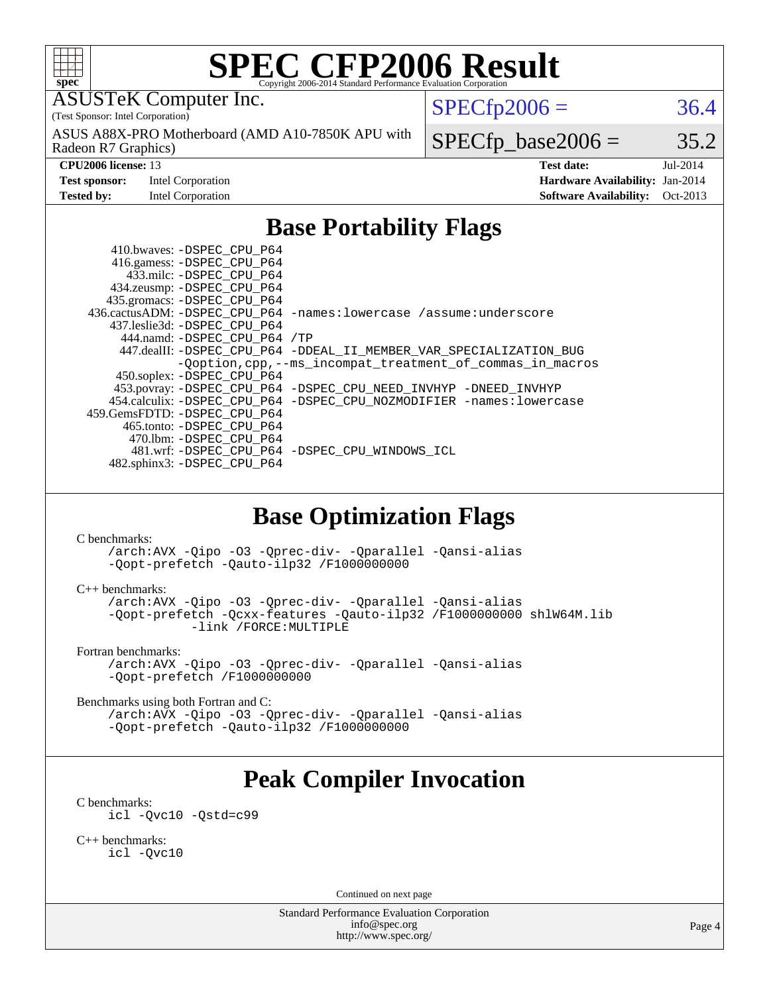

# **[SPEC CFP2006 Result](http://www.spec.org/auto/cpu2006/Docs/result-fields.html#SPECCFP2006Result)**

ASUSTeK Computer Inc.

(Test Sponsor: Intel Corporation)

Radeon R7 Graphics) ASUS A88X-PRO Motherboard (AMD A10-7850K APU with  $SPECTp2006 = 36.4$ 

**[Test sponsor:](http://www.spec.org/auto/cpu2006/Docs/result-fields.html#Testsponsor)** Intel Corporation **[Hardware Availability:](http://www.spec.org/auto/cpu2006/Docs/result-fields.html#HardwareAvailability)** Jan-2014

 $SPECTp\_base2006 = 35.2$ **[CPU2006 license:](http://www.spec.org/auto/cpu2006/Docs/result-fields.html#CPU2006license)** 13 **[Test date:](http://www.spec.org/auto/cpu2006/Docs/result-fields.html#Testdate)** Jul-2014

**[Tested by:](http://www.spec.org/auto/cpu2006/Docs/result-fields.html#Testedby)** Intel Corporation **[Software Availability:](http://www.spec.org/auto/cpu2006/Docs/result-fields.html#SoftwareAvailability)** Oct-2013

## **[Base Portability Flags](http://www.spec.org/auto/cpu2006/Docs/result-fields.html#BasePortabilityFlags)**

 410.bwaves: [-DSPEC\\_CPU\\_P64](http://www.spec.org/cpu2006/results/res2014q3/cpu2006-20140715-30429.flags.html#suite_basePORTABILITY410_bwaves_DSPEC_CPU_P64) 416.gamess: [-DSPEC\\_CPU\\_P64](http://www.spec.org/cpu2006/results/res2014q3/cpu2006-20140715-30429.flags.html#suite_basePORTABILITY416_gamess_DSPEC_CPU_P64) 433.milc: [-DSPEC\\_CPU\\_P64](http://www.spec.org/cpu2006/results/res2014q3/cpu2006-20140715-30429.flags.html#suite_basePORTABILITY433_milc_DSPEC_CPU_P64) 434.zeusmp: [-DSPEC\\_CPU\\_P64](http://www.spec.org/cpu2006/results/res2014q3/cpu2006-20140715-30429.flags.html#suite_basePORTABILITY434_zeusmp_DSPEC_CPU_P64) 435.gromacs: [-DSPEC\\_CPU\\_P64](http://www.spec.org/cpu2006/results/res2014q3/cpu2006-20140715-30429.flags.html#suite_basePORTABILITY435_gromacs_DSPEC_CPU_P64) 436.cactusADM: [-DSPEC\\_CPU\\_P64](http://www.spec.org/cpu2006/results/res2014q3/cpu2006-20140715-30429.flags.html#suite_basePORTABILITY436_cactusADM_DSPEC_CPU_P64) [-names:lowercase](http://www.spec.org/cpu2006/results/res2014q3/cpu2006-20140715-30429.flags.html#user_baseFPORTABILITY436_cactusADM_lowercase_routine_name_fa09b8c93d90fdc7bf4c1a91694c3a84) [/assume:underscore](http://www.spec.org/cpu2006/results/res2014q3/cpu2006-20140715-30429.flags.html#user_baseFPORTABILITY436_cactusADM_add-underscore_to_routine_name_0c7c658d9e5eb8b86e282975775768a4) 437.leslie3d: [-DSPEC\\_CPU\\_P64](http://www.spec.org/cpu2006/results/res2014q3/cpu2006-20140715-30429.flags.html#suite_basePORTABILITY437_leslie3d_DSPEC_CPU_P64) 444.namd: [-DSPEC\\_CPU\\_P64](http://www.spec.org/cpu2006/results/res2014q3/cpu2006-20140715-30429.flags.html#suite_basePORTABILITY444_namd_DSPEC_CPU_P64) [/TP](http://www.spec.org/cpu2006/results/res2014q3/cpu2006-20140715-30429.flags.html#user_baseCXXPORTABILITY444_namd_assume_cplusplus_sources_73f79b6e94f79d415caf1b69b30a60d8) 447.dealII: [-DSPEC\\_CPU\\_P64](http://www.spec.org/cpu2006/results/res2014q3/cpu2006-20140715-30429.flags.html#suite_basePORTABILITY447_dealII_DSPEC_CPU_P64) [-DDEAL\\_II\\_MEMBER\\_VAR\\_SPECIALIZATION\\_BUG](http://www.spec.org/cpu2006/results/res2014q3/cpu2006-20140715-30429.flags.html#b447.dealII_baseCXXPORTABILITY_DDEAL_II_MEMBER_VAR_SPECIALIZATION_BUG) [-Qoption,cpp,--ms\\_incompat\\_treatment\\_of\\_commas\\_in\\_macros](http://www.spec.org/cpu2006/results/res2014q3/cpu2006-20140715-30429.flags.html#user_baseCXXPORTABILITY447_dealII_workaround_for_incompat_commas_in_macros_371e7208d1728f07541b35505d65f89c) 450.soplex: [-DSPEC\\_CPU\\_P64](http://www.spec.org/cpu2006/results/res2014q3/cpu2006-20140715-30429.flags.html#suite_basePORTABILITY450_soplex_DSPEC_CPU_P64) 453.povray: [-DSPEC\\_CPU\\_P64](http://www.spec.org/cpu2006/results/res2014q3/cpu2006-20140715-30429.flags.html#suite_basePORTABILITY453_povray_DSPEC_CPU_P64) [-DSPEC\\_CPU\\_NEED\\_INVHYP](http://www.spec.org/cpu2006/results/res2014q3/cpu2006-20140715-30429.flags.html#b453.povray_baseCXXPORTABILITY_DSPEC_CPU_NEED_INVHYP) [-DNEED\\_INVHYP](http://www.spec.org/cpu2006/results/res2014q3/cpu2006-20140715-30429.flags.html#b453.povray_baseCXXPORTABILITY_DNEED_INVHYP) 454.calculix: [-DSPEC\\_CPU\\_P64](http://www.spec.org/cpu2006/results/res2014q3/cpu2006-20140715-30429.flags.html#suite_basePORTABILITY454_calculix_DSPEC_CPU_P64) [-DSPEC\\_CPU\\_NOZMODIFIER](http://www.spec.org/cpu2006/results/res2014q3/cpu2006-20140715-30429.flags.html#b454.calculix_baseCPORTABILITY_DSPEC_CPU_NOZMODIFIER) [-names:lowercase](http://www.spec.org/cpu2006/results/res2014q3/cpu2006-20140715-30429.flags.html#user_baseFPORTABILITY454_calculix_lowercase_routine_name_fa09b8c93d90fdc7bf4c1a91694c3a84) 459.GemsFDTD: [-DSPEC\\_CPU\\_P64](http://www.spec.org/cpu2006/results/res2014q3/cpu2006-20140715-30429.flags.html#suite_basePORTABILITY459_GemsFDTD_DSPEC_CPU_P64) 465.tonto: [-DSPEC\\_CPU\\_P64](http://www.spec.org/cpu2006/results/res2014q3/cpu2006-20140715-30429.flags.html#suite_basePORTABILITY465_tonto_DSPEC_CPU_P64) 470.lbm: [-DSPEC\\_CPU\\_P64](http://www.spec.org/cpu2006/results/res2014q3/cpu2006-20140715-30429.flags.html#suite_basePORTABILITY470_lbm_DSPEC_CPU_P64) 481.wrf: [-DSPEC\\_CPU\\_P64](http://www.spec.org/cpu2006/results/res2014q3/cpu2006-20140715-30429.flags.html#suite_basePORTABILITY481_wrf_DSPEC_CPU_P64) [-DSPEC\\_CPU\\_WINDOWS\\_ICL](http://www.spec.org/cpu2006/results/res2014q3/cpu2006-20140715-30429.flags.html#b481.wrf_baseCPORTABILITY_DSPEC_CPU_WINDOWS_ICL) 482.sphinx3: [-DSPEC\\_CPU\\_P64](http://www.spec.org/cpu2006/results/res2014q3/cpu2006-20140715-30429.flags.html#suite_basePORTABILITY482_sphinx3_DSPEC_CPU_P64)

### **[Base Optimization Flags](http://www.spec.org/auto/cpu2006/Docs/result-fields.html#BaseOptimizationFlags)**

[C benchmarks](http://www.spec.org/auto/cpu2006/Docs/result-fields.html#Cbenchmarks):

[/arch:AVX](http://www.spec.org/cpu2006/results/res2014q3/cpu2006-20140715-30429.flags.html#user_CCbase_f-archAVX_e8ab52e15dc7c67e0682fc680b79ed94) [-Qipo](http://www.spec.org/cpu2006/results/res2014q3/cpu2006-20140715-30429.flags.html#user_CCbase_f-Qipo) [-O3](http://www.spec.org/cpu2006/results/res2014q3/cpu2006-20140715-30429.flags.html#user_CCbase_f-O3) [-Qprec-div-](http://www.spec.org/cpu2006/results/res2014q3/cpu2006-20140715-30429.flags.html#user_CCbase_f-Qprec-div-) [-Qparallel](http://www.spec.org/cpu2006/results/res2014q3/cpu2006-20140715-30429.flags.html#user_CCbase_f-Qparallel) [-Qansi-alias](http://www.spec.org/cpu2006/results/res2014q3/cpu2006-20140715-30429.flags.html#user_CCbase_f-Qansi-alias) [-Qopt-prefetch](http://www.spec.org/cpu2006/results/res2014q3/cpu2006-20140715-30429.flags.html#user_CCbase_f-Qprefetch_37c211608666b9dff9380561f602f0a8) [-Qauto-ilp32](http://www.spec.org/cpu2006/results/res2014q3/cpu2006-20140715-30429.flags.html#user_CCbase_f-Qauto-ilp32) [/F1000000000](http://www.spec.org/cpu2006/results/res2014q3/cpu2006-20140715-30429.flags.html#user_CCbase_set_stack_space_25d7749c1988d91b7f93afbc0ec53727)

[C++ benchmarks:](http://www.spec.org/auto/cpu2006/Docs/result-fields.html#CXXbenchmarks)

[/arch:AVX](http://www.spec.org/cpu2006/results/res2014q3/cpu2006-20140715-30429.flags.html#user_CXXbase_f-archAVX_e8ab52e15dc7c67e0682fc680b79ed94) [-Qipo](http://www.spec.org/cpu2006/results/res2014q3/cpu2006-20140715-30429.flags.html#user_CXXbase_f-Qipo) [-O3](http://www.spec.org/cpu2006/results/res2014q3/cpu2006-20140715-30429.flags.html#user_CXXbase_f-O3) [-Qprec-div-](http://www.spec.org/cpu2006/results/res2014q3/cpu2006-20140715-30429.flags.html#user_CXXbase_f-Qprec-div-) [-Qparallel](http://www.spec.org/cpu2006/results/res2014q3/cpu2006-20140715-30429.flags.html#user_CXXbase_f-Qparallel) [-Qansi-alias](http://www.spec.org/cpu2006/results/res2014q3/cpu2006-20140715-30429.flags.html#user_CXXbase_f-Qansi-alias) [-Qopt-prefetch](http://www.spec.org/cpu2006/results/res2014q3/cpu2006-20140715-30429.flags.html#user_CXXbase_f-Qprefetch_37c211608666b9dff9380561f602f0a8) [-Qcxx-features](http://www.spec.org/cpu2006/results/res2014q3/cpu2006-20140715-30429.flags.html#user_CXXbase_f-Qcxx_features_dbf36c8a6dba956e22f1645e4dcd4d98) [-Qauto-ilp32](http://www.spec.org/cpu2006/results/res2014q3/cpu2006-20140715-30429.flags.html#user_CXXbase_f-Qauto-ilp32) [/F1000000000](http://www.spec.org/cpu2006/results/res2014q3/cpu2006-20140715-30429.flags.html#user_CXXbase_set_stack_space_25d7749c1988d91b7f93afbc0ec53727) [shlW64M.lib](http://www.spec.org/cpu2006/results/res2014q3/cpu2006-20140715-30429.flags.html#user_CXXbase_SmartHeap64_c4f7f76711bdf8c0633a5c1edf6e5396)  [-link /FORCE:MULTIPLE](http://www.spec.org/cpu2006/results/res2014q3/cpu2006-20140715-30429.flags.html#user_CXXbase_link_force_multiple2_070fe330869edf77077b841074b8b0b6)

[Fortran benchmarks](http://www.spec.org/auto/cpu2006/Docs/result-fields.html#Fortranbenchmarks):

[/arch:AVX](http://www.spec.org/cpu2006/results/res2014q3/cpu2006-20140715-30429.flags.html#user_FCbase_f-archAVX_e8ab52e15dc7c67e0682fc680b79ed94) [-Qipo](http://www.spec.org/cpu2006/results/res2014q3/cpu2006-20140715-30429.flags.html#user_FCbase_f-Qipo) [-O3](http://www.spec.org/cpu2006/results/res2014q3/cpu2006-20140715-30429.flags.html#user_FCbase_f-O3) [-Qprec-div-](http://www.spec.org/cpu2006/results/res2014q3/cpu2006-20140715-30429.flags.html#user_FCbase_f-Qprec-div-) [-Qparallel](http://www.spec.org/cpu2006/results/res2014q3/cpu2006-20140715-30429.flags.html#user_FCbase_f-Qparallel) [-Qansi-alias](http://www.spec.org/cpu2006/results/res2014q3/cpu2006-20140715-30429.flags.html#user_FCbase_f-Qansi-alias) [-Qopt-prefetch](http://www.spec.org/cpu2006/results/res2014q3/cpu2006-20140715-30429.flags.html#user_FCbase_f-Qprefetch_37c211608666b9dff9380561f602f0a8) [/F1000000000](http://www.spec.org/cpu2006/results/res2014q3/cpu2006-20140715-30429.flags.html#user_FCbase_set_stack_space_25d7749c1988d91b7f93afbc0ec53727)

[Benchmarks using both Fortran and C](http://www.spec.org/auto/cpu2006/Docs/result-fields.html#BenchmarksusingbothFortranandC):

[/arch:AVX](http://www.spec.org/cpu2006/results/res2014q3/cpu2006-20140715-30429.flags.html#user_CC_FCbase_f-archAVX_e8ab52e15dc7c67e0682fc680b79ed94) [-Qipo](http://www.spec.org/cpu2006/results/res2014q3/cpu2006-20140715-30429.flags.html#user_CC_FCbase_f-Qipo) [-O3](http://www.spec.org/cpu2006/results/res2014q3/cpu2006-20140715-30429.flags.html#user_CC_FCbase_f-O3) [-Qprec-div-](http://www.spec.org/cpu2006/results/res2014q3/cpu2006-20140715-30429.flags.html#user_CC_FCbase_f-Qprec-div-) [-Qparallel](http://www.spec.org/cpu2006/results/res2014q3/cpu2006-20140715-30429.flags.html#user_CC_FCbase_f-Qparallel) [-Qansi-alias](http://www.spec.org/cpu2006/results/res2014q3/cpu2006-20140715-30429.flags.html#user_CC_FCbase_f-Qansi-alias) [-Qopt-prefetch](http://www.spec.org/cpu2006/results/res2014q3/cpu2006-20140715-30429.flags.html#user_CC_FCbase_f-Qprefetch_37c211608666b9dff9380561f602f0a8) [-Qauto-ilp32](http://www.spec.org/cpu2006/results/res2014q3/cpu2006-20140715-30429.flags.html#user_CC_FCbase_f-Qauto-ilp32) [/F1000000000](http://www.spec.org/cpu2006/results/res2014q3/cpu2006-20140715-30429.flags.html#user_CC_FCbase_set_stack_space_25d7749c1988d91b7f93afbc0ec53727)

# **[Peak Compiler Invocation](http://www.spec.org/auto/cpu2006/Docs/result-fields.html#PeakCompilerInvocation)**

[C benchmarks](http://www.spec.org/auto/cpu2006/Docs/result-fields.html#Cbenchmarks):

[icl -Qvc10](http://www.spec.org/cpu2006/results/res2014q3/cpu2006-20140715-30429.flags.html#user_CCpeak_intel_icc_vc10_9607f3ecbcdf68042245f068e51b40c1) [-Qstd=c99](http://www.spec.org/cpu2006/results/res2014q3/cpu2006-20140715-30429.flags.html#user_CCpeak_intel_compiler_c99_mode_1a3d110e3041b3ad4466830521bdad2a)

[C++ benchmarks:](http://www.spec.org/auto/cpu2006/Docs/result-fields.html#CXXbenchmarks) [icl -Qvc10](http://www.spec.org/cpu2006/results/res2014q3/cpu2006-20140715-30429.flags.html#user_CXXpeak_intel_icc_vc10_9607f3ecbcdf68042245f068e51b40c1)

Continued on next page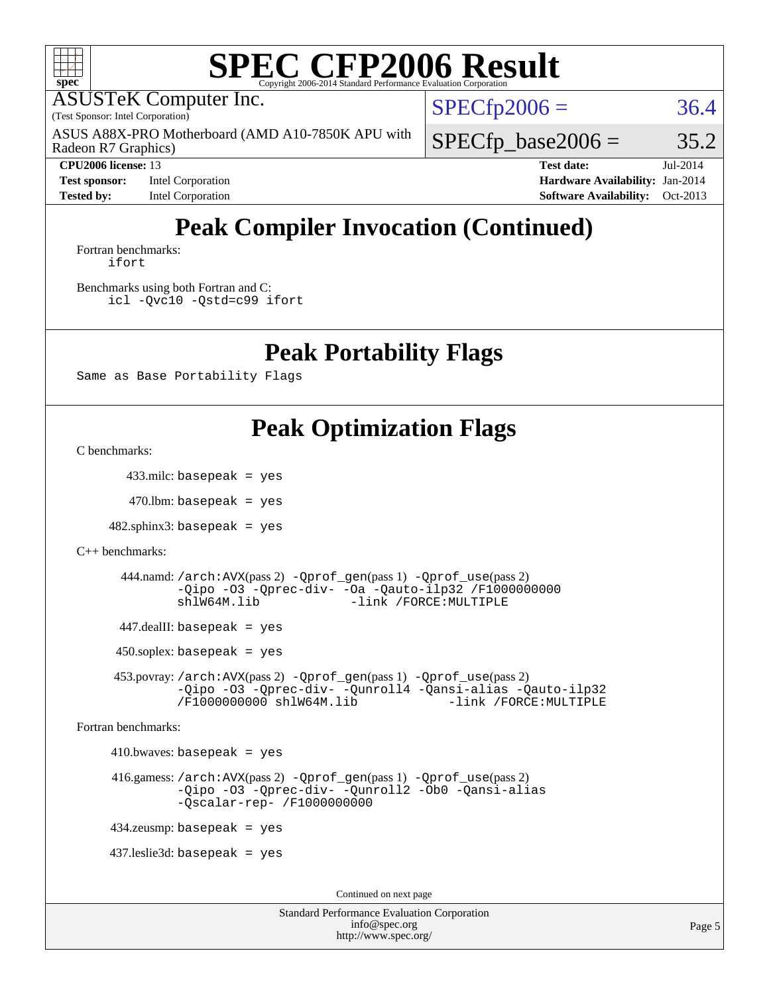

# **[SPEC CFP2006 Result](http://www.spec.org/auto/cpu2006/Docs/result-fields.html#SPECCFP2006Result)**

ASUSTeK Computer Inc.

(Test Sponsor: Intel Corporation)

Radeon R7 Graphics) ASUS A88X-PRO Motherboard (AMD A10-7850K APU with  $SPECfp2006 = 36.4$  $SPECfp2006 = 36.4$ 

 $SPECTp\_base2006 = 35.2$ 

**[Test sponsor:](http://www.spec.org/auto/cpu2006/Docs/result-fields.html#Testsponsor)** Intel Corporation **[Hardware Availability:](http://www.spec.org/auto/cpu2006/Docs/result-fields.html#HardwareAvailability)** Jan-2014

**[CPU2006 license:](http://www.spec.org/auto/cpu2006/Docs/result-fields.html#CPU2006license)** 13 **[Test date:](http://www.spec.org/auto/cpu2006/Docs/result-fields.html#Testdate)** Jul-2014 **[Tested by:](http://www.spec.org/auto/cpu2006/Docs/result-fields.html#Testedby)** Intel Corporation **[Software Availability:](http://www.spec.org/auto/cpu2006/Docs/result-fields.html#SoftwareAvailability)** Oct-2013

# **[Peak Compiler Invocation \(Continued\)](http://www.spec.org/auto/cpu2006/Docs/result-fields.html#PeakCompilerInvocation)**

[Fortran benchmarks](http://www.spec.org/auto/cpu2006/Docs/result-fields.html#Fortranbenchmarks): [ifort](http://www.spec.org/cpu2006/results/res2014q3/cpu2006-20140715-30429.flags.html#user_FCpeak_intel_ifort_8a5e5e06b19a251bdeaf8fdab5d62f20)

[Benchmarks using both Fortran and C](http://www.spec.org/auto/cpu2006/Docs/result-fields.html#BenchmarksusingbothFortranandC): [icl -Qvc10](http://www.spec.org/cpu2006/results/res2014q3/cpu2006-20140715-30429.flags.html#user_CC_FCpeak_intel_icc_vc10_9607f3ecbcdf68042245f068e51b40c1) [-Qstd=c99](http://www.spec.org/cpu2006/results/res2014q3/cpu2006-20140715-30429.flags.html#user_CC_FCpeak_intel_compiler_c99_mode_1a3d110e3041b3ad4466830521bdad2a) [ifort](http://www.spec.org/cpu2006/results/res2014q3/cpu2006-20140715-30429.flags.html#user_CC_FCpeak_intel_ifort_8a5e5e06b19a251bdeaf8fdab5d62f20)

#### **[Peak Portability Flags](http://www.spec.org/auto/cpu2006/Docs/result-fields.html#PeakPortabilityFlags)**

Same as Base Portability Flags

## **[Peak Optimization Flags](http://www.spec.org/auto/cpu2006/Docs/result-fields.html#PeakOptimizationFlags)**

[C benchmarks](http://www.spec.org/auto/cpu2006/Docs/result-fields.html#Cbenchmarks):

433.milc: basepeak = yes

 $470$ .lbm: basepeak = yes

 $482$ .sphinx $3$ : basepeak = yes

```
C++ benchmarks:
```
 444.namd: [/arch:AVX](http://www.spec.org/cpu2006/results/res2014q3/cpu2006-20140715-30429.flags.html#user_peakPASS2_CXXFLAGSPASS2_LDFLAGS444_namd_f-archAVX_e8ab52e15dc7c67e0682fc680b79ed94)(pass 2) [-Qprof\\_gen](http://www.spec.org/cpu2006/results/res2014q3/cpu2006-20140715-30429.flags.html#user_peakPASS1_CXXFLAGSPASS1_LDFLAGS444_namd_Qprof_gen)(pass 1) [-Qprof\\_use](http://www.spec.org/cpu2006/results/res2014q3/cpu2006-20140715-30429.flags.html#user_peakPASS2_CXXFLAGSPASS2_LDFLAGS444_namd_Qprof_use)(pass 2) [-Qipo](http://www.spec.org/cpu2006/results/res2014q3/cpu2006-20140715-30429.flags.html#user_peakOPTIMIZE444_namd_f-Qipo) [-O3](http://www.spec.org/cpu2006/results/res2014q3/cpu2006-20140715-30429.flags.html#user_peakOPTIMIZE444_namd_f-O3) [-Qprec-div-](http://www.spec.org/cpu2006/results/res2014q3/cpu2006-20140715-30429.flags.html#user_peakOPTIMIZE444_namd_f-Qprec-div-) [-Oa](http://www.spec.org/cpu2006/results/res2014q3/cpu2006-20140715-30429.flags.html#user_peakOPTIMIZE444_namd_f-Oa) [-Qauto-ilp32](http://www.spec.org/cpu2006/results/res2014q3/cpu2006-20140715-30429.flags.html#user_peakCXXOPTIMIZE444_namd_f-Qauto-ilp32) [/F1000000000](http://www.spec.org/cpu2006/results/res2014q3/cpu2006-20140715-30429.flags.html#user_peakEXTRA_LDFLAGS444_namd_set_stack_space_25d7749c1988d91b7f93afbc0ec53727) [shlW64M.lib](http://www.spec.org/cpu2006/results/res2014q3/cpu2006-20140715-30429.flags.html#user_peakEXTRA_LIBS444_namd_SmartHeap64_c4f7f76711bdf8c0633a5c1edf6e5396) [-link /FORCE:MULTIPLE](http://www.spec.org/cpu2006/results/res2014q3/cpu2006-20140715-30429.flags.html#user_peakLDOUT444_namd_link_force_multiple2_070fe330869edf77077b841074b8b0b6)

447.dealII: basepeak = yes

 $450$ .soplex: basepeak = yes

 453.povray: [/arch:AVX](http://www.spec.org/cpu2006/results/res2014q3/cpu2006-20140715-30429.flags.html#user_peakPASS2_CXXFLAGSPASS2_LDFLAGS453_povray_f-archAVX_e8ab52e15dc7c67e0682fc680b79ed94)(pass 2) [-Qprof\\_gen](http://www.spec.org/cpu2006/results/res2014q3/cpu2006-20140715-30429.flags.html#user_peakPASS1_CXXFLAGSPASS1_LDFLAGS453_povray_Qprof_gen)(pass 1) [-Qprof\\_use](http://www.spec.org/cpu2006/results/res2014q3/cpu2006-20140715-30429.flags.html#user_peakPASS2_CXXFLAGSPASS2_LDFLAGS453_povray_Qprof_use)(pass 2) [-Qipo](http://www.spec.org/cpu2006/results/res2014q3/cpu2006-20140715-30429.flags.html#user_peakOPTIMIZE453_povray_f-Qipo) [-O3](http://www.spec.org/cpu2006/results/res2014q3/cpu2006-20140715-30429.flags.html#user_peakOPTIMIZE453_povray_f-O3) [-Qprec-div-](http://www.spec.org/cpu2006/results/res2014q3/cpu2006-20140715-30429.flags.html#user_peakOPTIMIZE453_povray_f-Qprec-div-) [-Qunroll4](http://www.spec.org/cpu2006/results/res2014q3/cpu2006-20140715-30429.flags.html#user_peakOPTIMIZE453_povray_f-Qunroll_013b1c0ea3aa84ef2c65e488bcc3d968) [-Qansi-alias](http://www.spec.org/cpu2006/results/res2014q3/cpu2006-20140715-30429.flags.html#user_peakOPTIMIZE453_povray_f-Qansi-alias) [-Qauto-ilp32](http://www.spec.org/cpu2006/results/res2014q3/cpu2006-20140715-30429.flags.html#user_peakCXXOPTIMIZE453_povray_f-Qauto-ilp32) [/F1000000000](http://www.spec.org/cpu2006/results/res2014q3/cpu2006-20140715-30429.flags.html#user_peakEXTRA_LDFLAGS453_povray_set_stack_space_25d7749c1988d91b7f93afbc0ec53727) [shlW64M.lib](http://www.spec.org/cpu2006/results/res2014q3/cpu2006-20140715-30429.flags.html#user_peakEXTRA_LIBS453_povray_SmartHeap64_c4f7f76711bdf8c0633a5c1edf6e5396)

[Fortran benchmarks](http://www.spec.org/auto/cpu2006/Docs/result-fields.html#Fortranbenchmarks):

 $410.bwaves: basepeak = yes$ 

 416.gamess: [/arch:AVX](http://www.spec.org/cpu2006/results/res2014q3/cpu2006-20140715-30429.flags.html#user_peakPASS2_FFLAGSPASS2_LDFLAGS416_gamess_f-archAVX_e8ab52e15dc7c67e0682fc680b79ed94)(pass 2) [-Qprof\\_gen](http://www.spec.org/cpu2006/results/res2014q3/cpu2006-20140715-30429.flags.html#user_peakPASS1_FFLAGSPASS1_LDFLAGS416_gamess_Qprof_gen)(pass 1) [-Qprof\\_use](http://www.spec.org/cpu2006/results/res2014q3/cpu2006-20140715-30429.flags.html#user_peakPASS2_FFLAGSPASS2_LDFLAGS416_gamess_Qprof_use)(pass 2) [-Qipo](http://www.spec.org/cpu2006/results/res2014q3/cpu2006-20140715-30429.flags.html#user_peakOPTIMIZE416_gamess_f-Qipo) [-O3](http://www.spec.org/cpu2006/results/res2014q3/cpu2006-20140715-30429.flags.html#user_peakOPTIMIZE416_gamess_f-O3) [-Qprec-div-](http://www.spec.org/cpu2006/results/res2014q3/cpu2006-20140715-30429.flags.html#user_peakOPTIMIZE416_gamess_f-Qprec-div-) [-Qunroll2](http://www.spec.org/cpu2006/results/res2014q3/cpu2006-20140715-30429.flags.html#user_peakOPTIMIZE416_gamess_f-Qunroll_1d9456aa650e77fc2a0cf43cef3fa08c) [-Ob0](http://www.spec.org/cpu2006/results/res2014q3/cpu2006-20140715-30429.flags.html#user_peakOPTIMIZE416_gamess_f-Ob_n_fbe6f6428adb7d4b74b1e99bb2444c2d) [-Qansi-alias](http://www.spec.org/cpu2006/results/res2014q3/cpu2006-20140715-30429.flags.html#user_peakOPTIMIZE416_gamess_f-Qansi-alias) [-Qscalar-rep-](http://www.spec.org/cpu2006/results/res2014q3/cpu2006-20140715-30429.flags.html#user_peakOPTIMIZE416_gamess_f-Qscalar-rep_02cb9e11a5340d80ab3062d84e5dfb2e) [/F1000000000](http://www.spec.org/cpu2006/results/res2014q3/cpu2006-20140715-30429.flags.html#user_peakEXTRA_LDFLAGS416_gamess_set_stack_space_25d7749c1988d91b7f93afbc0ec53727)

434.zeusmp: basepeak = yes

437.leslie3d: basepeak = yes

Continued on next page